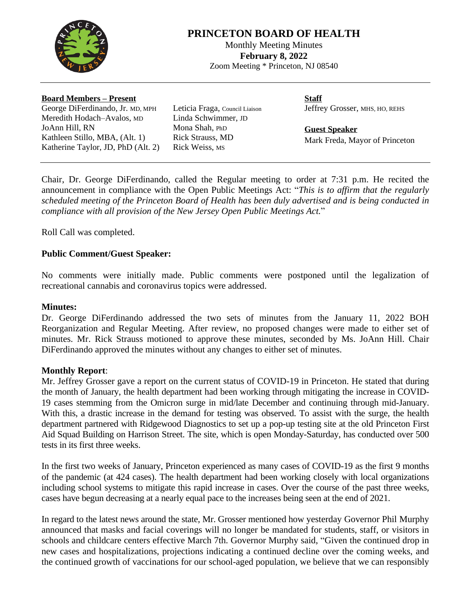

# **PRINCETON BOARD OF HEALTH**

Monthly Meeting Minutes **February 8, 2022** Zoom Meeting \* Princeton, NJ 08540

#### **Board Members – Present**

George DiFerdinando, Jr. MD, MPH Meredith Hodach–Avalos, MD JoAnn Hill, RN Kathleen Stillo, MBA, (Alt. 1) Katherine Taylor, JD, PhD (Alt. 2) Leticia Fraga, Council Liaison Linda Schwimmer, JD Mona Shah, PhD Rick Strauss, MD Rick Weiss, MS

**Staff** Jeffrey Grosser, MHS, HO, REHS

**Guest Speaker** Mark Freda, Mayor of Princeton

Chair, Dr. George DiFerdinando, called the Regular meeting to order at 7:31 p.m. He recited the announcement in compliance with the Open Public Meetings Act: "*This is to affirm that the regularly scheduled meeting of the Princeton Board of Health has been duly advertised and is being conducted in compliance with all provision of the New Jersey Open Public Meetings Act.*"

Roll Call was completed.

# **Public Comment/Guest Speaker:**

No comments were initially made. Public comments were postponed until the legalization of recreational cannabis and coronavirus topics were addressed.

#### **Minutes:**

Dr. George DiFerdinando addressed the two sets of minutes from the January 11, 2022 BOH Reorganization and Regular Meeting. After review, no proposed changes were made to either set of minutes. Mr. Rick Strauss motioned to approve these minutes, seconded by Ms. JoAnn Hill. Chair DiFerdinando approved the minutes without any changes to either set of minutes.

### **Monthly Report**:

Mr. Jeffrey Grosser gave a report on the current status of COVID-19 in Princeton. He stated that during the month of January, the health department had been working through mitigating the increase in COVID-19 cases stemming from the Omicron surge in mid/late December and continuing through mid-January. With this, a drastic increase in the demand for testing was observed. To assist with the surge, the health department partnered with Ridgewood Diagnostics to set up a pop-up testing site at the old Princeton First Aid Squad Building on Harrison Street. The site, which is open Monday-Saturday, has conducted over 500 tests in its first three weeks.

In the first two weeks of January, Princeton experienced as many cases of COVID-19 as the first 9 months of the pandemic (at 424 cases). The health department had been working closely with local organizations including school systems to mitigate this rapid increase in cases. Over the course of the past three weeks, cases have begun decreasing at a nearly equal pace to the increases being seen at the end of 2021.

In regard to the latest news around the state, Mr. Grosser mentioned how yesterday Governor Phil Murphy announced that masks and facial coverings will no longer be mandated for students, staff, or visitors in schools and childcare centers effective March 7th. Governor Murphy said, "Given the continued drop in new cases and hospitalizations, projections indicating a continued decline over the coming weeks, and the continued growth of vaccinations for our school-aged population, we believe that we can responsibly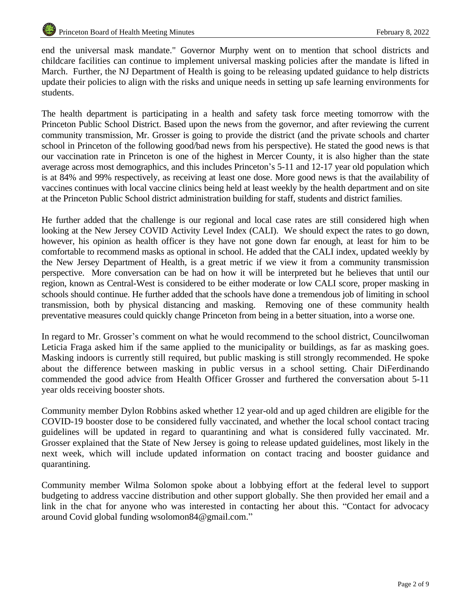end the universal mask mandate." Governor Murphy went on to mention that school districts and childcare facilities can continue to implement universal masking policies after the mandate is lifted in March. Further, the NJ Department of Health is going to be releasing updated guidance to help districts update their policies to align with the risks and unique needs in setting up safe learning environments for students.

The health department is participating in a health and safety task force meeting tomorrow with the Princeton Public School District. Based upon the news from the governor, and after reviewing the current community transmission, Mr. Grosser is going to provide the district (and the private schools and charter school in Princeton of the following good/bad news from his perspective). He stated the good news is that our vaccination rate in Princeton is one of the highest in Mercer County, it is also higher than the state average across most demographics, and this includes Princeton's 5-11 and 12-17 year old population which is at 84% and 99% respectively, as receiving at least one dose. More good news is that the availability of vaccines continues with local vaccine clinics being held at least weekly by the health department and on site at the Princeton Public School district administration building for staff, students and district families.

He further added that the challenge is our regional and local case rates are still considered high when looking at the New Jersey COVID Activity Level Index (CALI). We should expect the rates to go down, however, his opinion as health officer is they have not gone down far enough, at least for him to be comfortable to recommend masks as optional in school. He added that the CALI index, updated weekly by the New Jersey Department of Health, is a great metric if we view it from a community transmission perspective. More conversation can be had on how it will be interpreted but he believes that until our region, known as Central-West is considered to be either moderate or low CALI score, proper masking in schools should continue. He further added that the schools have done a tremendous job of limiting in school transmission, both by physical distancing and masking. Removing one of these community health preventative measures could quickly change Princeton from being in a better situation, into a worse one.

In regard to Mr. Grosser's comment on what he would recommend to the school district, Councilwoman Leticia Fraga asked him if the same applied to the municipality or buildings, as far as masking goes. Masking indoors is currently still required, but public masking is still strongly recommended. He spoke about the difference between masking in public versus in a school setting. Chair DiFerdinando commended the good advice from Health Officer Grosser and furthered the conversation about 5-11 year olds receiving booster shots.

Community member Dylon Robbins asked whether 12 year-old and up aged children are eligible for the COVID-19 booster dose to be considered fully vaccinated, and whether the local school contact tracing guidelines will be updated in regard to quarantining and what is considered fully vaccinated. Mr. Grosser explained that the State of New Jersey is going to release updated guidelines, most likely in the next week, which will include updated information on contact tracing and booster guidance and quarantining.

Community member Wilma Solomon spoke about a lobbying effort at the federal level to support budgeting to address vaccine distribution and other support globally. She then provided her email and a link in the chat for anyone who was interested in contacting her about this. "Contact for advocacy around Covid global funding wsolomon84@gmail.com."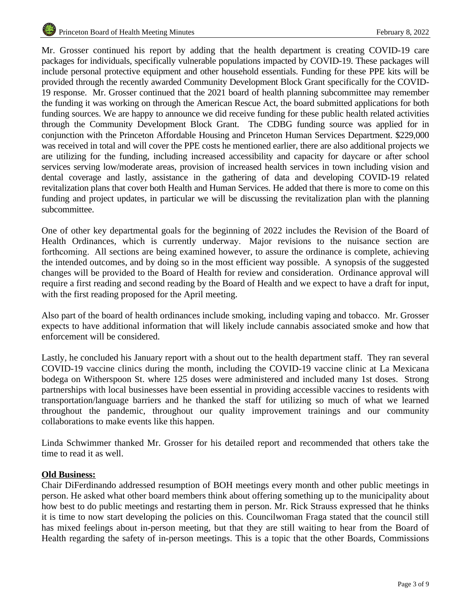Mr. Grosser continued his report by adding that the health department is creating COVID-19 care packages for individuals, specifically vulnerable populations impacted by COVID-19. These packages will include personal protective equipment and other household essentials. Funding for these PPE kits will be provided through the recently awarded Community Development Block Grant specifically for the COVID-19 response. Mr. Grosser continued that the 2021 board of health planning subcommittee may remember the funding it was working on through the American Rescue Act, the board submitted applications for both funding sources. We are happy to announce we did receive funding for these public health related activities through the Community Development Block Grant. The CDBG funding source was applied for in conjunction with the Princeton Affordable Housing and Princeton Human Services Department. \$229,000 was received in total and will cover the PPE costs he mentioned earlier, there are also additional projects we are utilizing for the funding, including increased accessibility and capacity for daycare or after school services serving low/moderate areas, provision of increased health services in town including vision and dental coverage and lastly, assistance in the gathering of data and developing COVID-19 related revitalization plans that cover both Health and Human Services. He added that there is more to come on this funding and project updates, in particular we will be discussing the revitalization plan with the planning subcommittee.

One of other key departmental goals for the beginning of 2022 includes the Revision of the Board of Health Ordinances, which is currently underway. Major revisions to the nuisance section are forthcoming. All sections are being examined however, to assure the ordinance is complete, achieving the intended outcomes, and by doing so in the most efficient way possible. A synopsis of the suggested changes will be provided to the Board of Health for review and consideration. Ordinance approval will require a first reading and second reading by the Board of Health and we expect to have a draft for input, with the first reading proposed for the April meeting.

Also part of the board of health ordinances include smoking, including vaping and tobacco. Mr. Grosser expects to have additional information that will likely include cannabis associated smoke and how that enforcement will be considered.

Lastly, he concluded his January report with a shout out to the health department staff. They ran several COVID-19 vaccine clinics during the month, including the COVID-19 vaccine clinic at La Mexicana bodega on Witherspoon St. where 125 doses were administered and included many 1st doses. Strong partnerships with local businesses have been essential in providing accessible vaccines to residents with transportation/language barriers and he thanked the staff for utilizing so much of what we learned throughout the pandemic, throughout our quality improvement trainings and our community collaborations to make events like this happen.

Linda Schwimmer thanked Mr. Grosser for his detailed report and recommended that others take the time to read it as well.

# **Old Business:**

Chair DiFerdinando addressed resumption of BOH meetings every month and other public meetings in person. He asked what other board members think about offering something up to the municipality about how best to do public meetings and restarting them in person. Mr. Rick Strauss expressed that he thinks it is time to now start developing the policies on this. Councilwoman Fraga stated that the council still has mixed feelings about in-person meeting, but that they are still waiting to hear from the Board of Health regarding the safety of in-person meetings. This is a topic that the other Boards, Commissions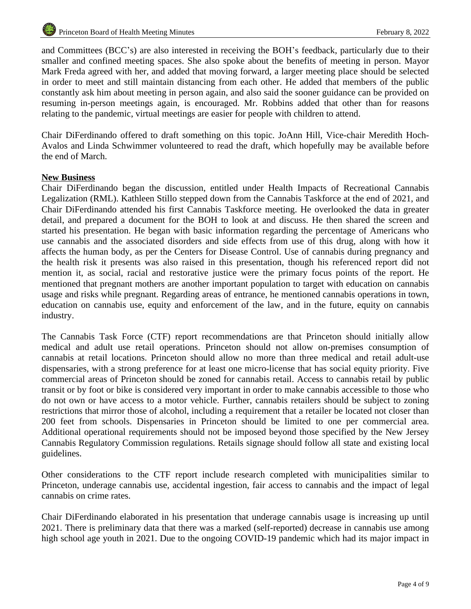and Committees (BCC's) are also interested in receiving the BOH's feedback, particularly due to their smaller and confined meeting spaces. She also spoke about the benefits of meeting in person. Mayor Mark Freda agreed with her, and added that moving forward, a larger meeting place should be selected in order to meet and still maintain distancing from each other. He added that members of the public constantly ask him about meeting in person again, and also said the sooner guidance can be provided on resuming in-person meetings again, is encouraged. Mr. Robbins added that other than for reasons relating to the pandemic, virtual meetings are easier for people with children to attend.

Chair DiFerdinando offered to draft something on this topic. JoAnn Hill, Vice-chair Meredith Hoch-Avalos and Linda Schwimmer volunteered to read the draft, which hopefully may be available before the end of March.

# **New Business**

Chair DiFerdinando began the discussion, entitled under Health Impacts of Recreational Cannabis Legalization (RML). Kathleen Stillo stepped down from the Cannabis Taskforce at the end of 2021, and Chair DiFerdinando attended his first Cannabis Taskforce meeting. He overlooked the data in greater detail, and prepared a document for the BOH to look at and discuss. He then shared the screen and started his presentation. He began with basic information regarding the percentage of Americans who use cannabis and the associated disorders and side effects from use of this drug, along with how it affects the human body, as per the Centers for Disease Control. Use of cannabis during pregnancy and the health risk it presents was also raised in this presentation, though his referenced report did not mention it, as social, racial and restorative justice were the primary focus points of the report. He mentioned that pregnant mothers are another important population to target with education on cannabis usage and risks while pregnant. Regarding areas of entrance, he mentioned cannabis operations in town, education on cannabis use, equity and enforcement of the law, and in the future, equity on cannabis industry.

The Cannabis Task Force (CTF) report recommendations are that Princeton should initially allow medical and adult use retail operations. Princeton should not allow on-premises consumption of cannabis at retail locations. Princeton should allow no more than three medical and retail adult-use dispensaries, with a strong preference for at least one micro-license that has social equity priority. Five commercial areas of Princeton should be zoned for cannabis retail. Access to cannabis retail by public transit or by foot or bike is considered very important in order to make cannabis accessible to those who do not own or have access to a motor vehicle. Further, cannabis retailers should be subject to zoning restrictions that mirror those of alcohol, including a requirement that a retailer be located not closer than 200 feet from schools. Dispensaries in Princeton should be limited to one per commercial area. Additional operational requirements should not be imposed beyond those specified by the New Jersey Cannabis Regulatory Commission regulations. Retails signage should follow all state and existing local guidelines.

Other considerations to the CTF report include research completed with municipalities similar to Princeton, underage cannabis use, accidental ingestion, fair access to cannabis and the impact of legal cannabis on crime rates.

Chair DiFerdinando elaborated in his presentation that underage cannabis usage is increasing up until 2021. There is preliminary data that there was a marked (self-reported) decrease in cannabis use among high school age youth in 2021. Due to the ongoing COVID-19 pandemic which had its major impact in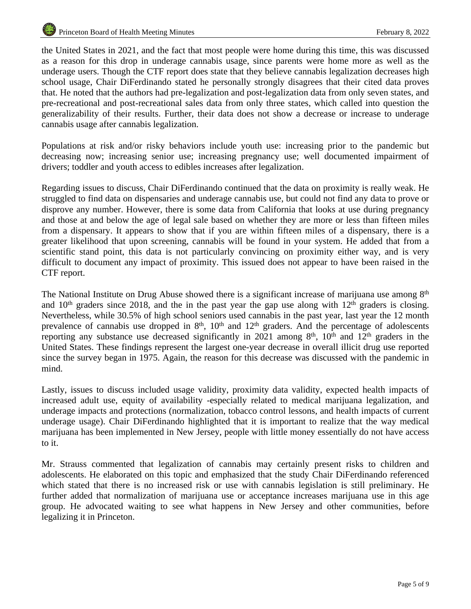the United States in 2021, and the fact that most people were home during this time, this was discussed as a reason for this drop in underage cannabis usage, since parents were home more as well as the underage users. Though the CTF report does state that they believe cannabis legalization decreases high school usage, Chair DiFerdinando stated he personally strongly disagrees that their cited data proves that. He noted that the authors had pre-legalization and post-legalization data from only seven states, and pre-recreational and post-recreational sales data from only three states, which called into question the generalizability of their results. Further, their data does not show a decrease or increase to underage cannabis usage after cannabis legalization.

Populations at risk and/or risky behaviors include youth use: increasing prior to the pandemic but decreasing now; increasing senior use; increasing pregnancy use; well documented impairment of drivers; toddler and youth access to edibles increases after legalization.

Regarding issues to discuss, Chair DiFerdinando continued that the data on proximity is really weak. He struggled to find data on dispensaries and underage cannabis use, but could not find any data to prove or disprove any number. However, there is some data from California that looks at use during pregnancy and those at and below the age of legal sale based on whether they are more or less than fifteen miles from a dispensary. It appears to show that if you are within fifteen miles of a dispensary, there is a greater likelihood that upon screening, cannabis will be found in your system. He added that from a scientific stand point, this data is not particularly convincing on proximity either way, and is very difficult to document any impact of proximity. This issued does not appear to have been raised in the CTF report.

The National Institute on Drug Abuse showed there is a significant increase of marijuana use among 8<sup>th</sup> and  $10<sup>th</sup>$  graders since 2018, and the in the past year the gap use along with  $12<sup>th</sup>$  graders is closing. Nevertheless, while 30.5% of high school seniors used cannabis in the past year, last year the 12 month prevalence of cannabis use dropped in 8<sup>th</sup>, 10<sup>th</sup> and 12<sup>th</sup> graders. And the percentage of adolescents reporting any substance use decreased significantly in 2021 among 8<sup>th</sup>, 10<sup>th</sup> and 12<sup>th</sup> graders in the United States. These findings represent the largest one-year decrease in overall illicit drug use reported since the survey began in 1975. Again, the reason for this decrease was discussed with the pandemic in mind.

Lastly, issues to discuss included usage validity, proximity data validity, expected health impacts of increased adult use, equity of availability -especially related to medical marijuana legalization, and underage impacts and protections (normalization, tobacco control lessons, and health impacts of current underage usage). Chair DiFerdinando highlighted that it is important to realize that the way medical marijuana has been implemented in New Jersey, people with little money essentially do not have access to it.

Mr. Strauss commented that legalization of cannabis may certainly present risks to children and adolescents. He elaborated on this topic and emphasized that the study Chair DiFerdinando referenced which stated that there is no increased risk or use with cannabis legislation is still preliminary. He further added that normalization of marijuana use or acceptance increases marijuana use in this age group. He advocated waiting to see what happens in New Jersey and other communities, before legalizing it in Princeton.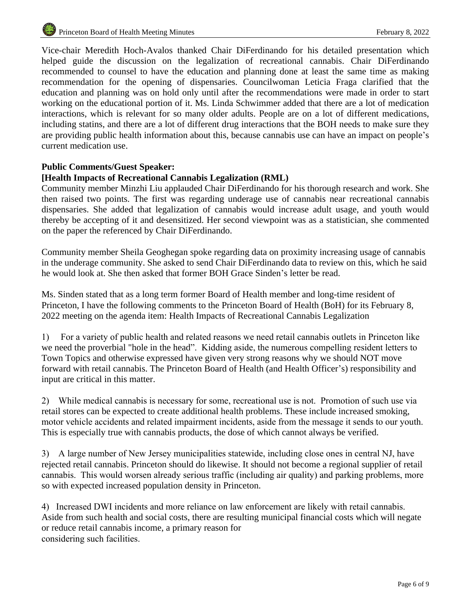Vice-chair Meredith Hoch-Avalos thanked Chair DiFerdinando for his detailed presentation which helped guide the discussion on the legalization of recreational cannabis. Chair DiFerdinando recommended to counsel to have the education and planning done at least the same time as making recommendation for the opening of dispensaries. Councilwoman Leticia Fraga clarified that the education and planning was on hold only until after the recommendations were made in order to start working on the educational portion of it. Ms. Linda Schwimmer added that there are a lot of medication interactions, which is relevant for so many older adults. People are on a lot of different medications, including statins, and there are a lot of different drug interactions that the BOH needs to make sure they are providing public health information about this, because cannabis use can have an impact on people's current medication use.

# **Public Comments/Guest Speaker:**

# **[Health Impacts of Recreational Cannabis Legalization (RML)**

Community member Minzhi Liu applauded Chair DiFerdinando for his thorough research and work. She then raised two points. The first was regarding underage use of cannabis near recreational cannabis dispensaries. She added that legalization of cannabis would increase adult usage, and youth would thereby be accepting of it and desensitized. Her second viewpoint was as a statistician, she commented on the paper the referenced by Chair DiFerdinando.

Community member Sheila Geoghegan spoke regarding data on proximity increasing usage of cannabis in the underage community. She asked to send Chair DiFerdinando data to review on this, which he said he would look at. She then asked that former BOH Grace Sinden's letter be read.

Ms. Sinden stated that as a long term former Board of Health member and long-time resident of Princeton, I have the following comments to the Princeton Board of Health (BoH) for its February 8, 2022 meeting on the agenda item: Health Impacts of Recreational Cannabis Legalization

1) For a variety of public health and related reasons we need retail cannabis outlets in Princeton like we need the proverbial "hole in the head". Kidding aside, the numerous compelling resident letters to Town Topics and otherwise expressed have given very strong reasons why we should NOT move forward with retail cannabis. The Princeton Board of Health (and Health Officer's) responsibility and input are critical in this matter.

2) While medical cannabis is necessary for some, recreational use is not. Promotion of such use via retail stores can be expected to create additional health problems. These include increased smoking, motor vehicle accidents and related impairment incidents, aside from the message it sends to our youth. This is especially true with cannabis products, the dose of which cannot always be verified.

3) A large number of New Jersey municipalities statewide, including close ones in central NJ, have rejected retail cannabis. Princeton should do likewise. It should not become a regional supplier of retail cannabis. This would worsen already serious traffic (including air quality) and parking problems, more so with expected increased population density in Princeton.

4) Increased DWI incidents and more reliance on law enforcement are likely with retail cannabis. Aside from such health and social costs, there are resulting municipal financial costs which will negate or reduce retail cannabis income, a primary reason for considering such facilities.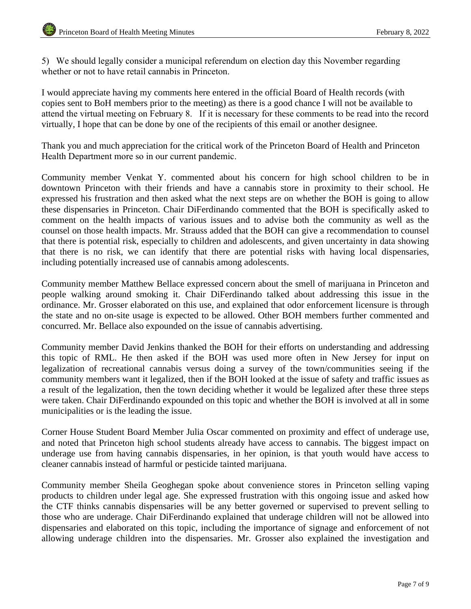5) We should legally consider a municipal referendum on election day this November regarding whether or not to have retail cannabis in Princeton.

I would appreciate having my comments here entered in the official Board of Health records (with copies sent to BoH members prior to the meeting) as there is a good chance I will not be available to attend the virtual meeting on February 8. If it is necessary for these comments to be read into the record virtually, I hope that can be done by one of the recipients of this email or another designee.

Thank you and much appreciation for the critical work of the Princeton Board of Health and Princeton Health Department more so in our current pandemic.

Community member Venkat Y. commented about his concern for high school children to be in downtown Princeton with their friends and have a cannabis store in proximity to their school. He expressed his frustration and then asked what the next steps are on whether the BOH is going to allow these dispensaries in Princeton. Chair DiFerdinando commented that the BOH is specifically asked to comment on the health impacts of various issues and to advise both the community as well as the counsel on those health impacts. Mr. Strauss added that the BOH can give a recommendation to counsel that there is potential risk, especially to children and adolescents, and given uncertainty in data showing that there is no risk, we can identify that there are potential risks with having local dispensaries, including potentially increased use of cannabis among adolescents.

Community member Matthew Bellace expressed concern about the smell of marijuana in Princeton and people walking around smoking it. Chair DiFerdinando talked about addressing this issue in the ordinance. Mr. Grosser elaborated on this use, and explained that odor enforcement licensure is through the state and no on-site usage is expected to be allowed. Other BOH members further commented and concurred. Mr. Bellace also expounded on the issue of cannabis advertising.

Community member David Jenkins thanked the BOH for their efforts on understanding and addressing this topic of RML. He then asked if the BOH was used more often in New Jersey for input on legalization of recreational cannabis versus doing a survey of the town/communities seeing if the community members want it legalized, then if the BOH looked at the issue of safety and traffic issues as a result of the legalization, then the town deciding whether it would be legalized after these three steps were taken. Chair DiFerdinando expounded on this topic and whether the BOH is involved at all in some municipalities or is the leading the issue.

Corner House Student Board Member Julia Oscar commented on proximity and effect of underage use, and noted that Princeton high school students already have access to cannabis. The biggest impact on underage use from having cannabis dispensaries, in her opinion, is that youth would have access to cleaner cannabis instead of harmful or pesticide tainted marijuana.

Community member Sheila Geoghegan spoke about convenience stores in Princeton selling vaping products to children under legal age. She expressed frustration with this ongoing issue and asked how the CTF thinks cannabis dispensaries will be any better governed or supervised to prevent selling to those who are underage. Chair DiFerdinando explained that underage children will not be allowed into dispensaries and elaborated on this topic, including the importance of signage and enforcement of not allowing underage children into the dispensaries. Mr. Grosser also explained the investigation and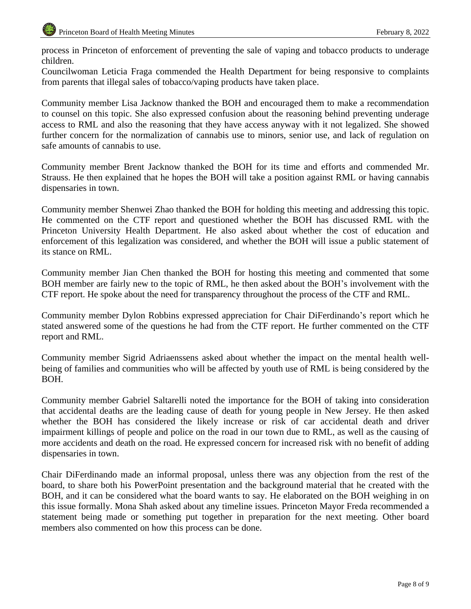process in Princeton of enforcement of preventing the sale of vaping and tobacco products to underage children.

Councilwoman Leticia Fraga commended the Health Department for being responsive to complaints from parents that illegal sales of tobacco/vaping products have taken place.

Community member Lisa Jacknow thanked the BOH and encouraged them to make a recommendation to counsel on this topic. She also expressed confusion about the reasoning behind preventing underage access to RML and also the reasoning that they have access anyway with it not legalized. She showed further concern for the normalization of cannabis use to minors, senior use, and lack of regulation on safe amounts of cannabis to use.

Community member Brent Jacknow thanked the BOH for its time and efforts and commended Mr. Strauss. He then explained that he hopes the BOH will take a position against RML or having cannabis dispensaries in town.

Community member Shenwei Zhao thanked the BOH for holding this meeting and addressing this topic. He commented on the CTF report and questioned whether the BOH has discussed RML with the Princeton University Health Department. He also asked about whether the cost of education and enforcement of this legalization was considered, and whether the BOH will issue a public statement of its stance on RML.

Community member Jian Chen thanked the BOH for hosting this meeting and commented that some BOH member are fairly new to the topic of RML, he then asked about the BOH's involvement with the CTF report. He spoke about the need for transparency throughout the process of the CTF and RML.

Community member Dylon Robbins expressed appreciation for Chair DiFerdinando's report which he stated answered some of the questions he had from the CTF report. He further commented on the CTF report and RML.

Community member Sigrid Adriaenssens asked about whether the impact on the mental health wellbeing of families and communities who will be affected by youth use of RML is being considered by the BOH.

Community member Gabriel Saltarelli noted the importance for the BOH of taking into consideration that accidental deaths are the leading cause of death for young people in New Jersey. He then asked whether the BOH has considered the likely increase or risk of car accidental death and driver impairment killings of people and police on the road in our town due to RML, as well as the causing of more accidents and death on the road. He expressed concern for increased risk with no benefit of adding dispensaries in town.

Chair DiFerdinando made an informal proposal, unless there was any objection from the rest of the board, to share both his PowerPoint presentation and the background material that he created with the BOH, and it can be considered what the board wants to say. He elaborated on the BOH weighing in on this issue formally. Mona Shah asked about any timeline issues. Princeton Mayor Freda recommended a statement being made or something put together in preparation for the next meeting. Other board members also commented on how this process can be done.